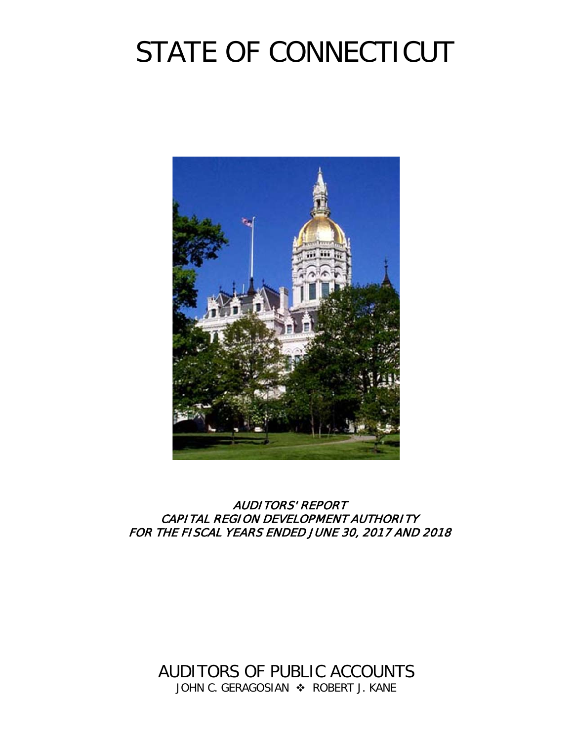# STATE OF CONNECTICUT



# AUDITORS' REPORT CAPITAL REGION DEVELOPMENT AUTHORITY FOR THE FISCAL YEARS ENDED JUNE 30, 2017 AND 2018

AUDITORS OF PUBLIC ACCOUNTS JOHN C. GERAGOSIAN  $\div$  ROBERT J. KANE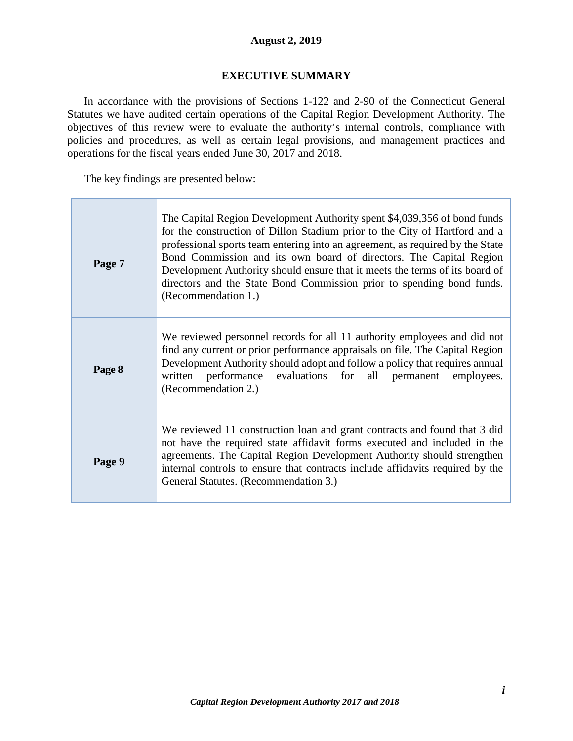#### **August 2, 2019**

#### **EXECUTIVE SUMMARY**

<span id="page-2-0"></span>In accordance with the provisions of Sections 1-122 and 2-90 of the Connecticut General Statutes we have audited certain operations of the Capital Region Development Authority. The objectives of this review were to evaluate the authority's internal controls, compliance with policies and procedures, as well as certain legal provisions, and management practices and operations for the fiscal years ended June 30, 2017 and 2018.

The key findings are presented below:

| Page 7 | The Capital Region Development Authority spent \$4,039,356 of bond funds<br>for the construction of Dillon Stadium prior to the City of Hartford and a<br>professional sports team entering into an agreement, as required by the State<br>Bond Commission and its own board of directors. The Capital Region<br>Development Authority should ensure that it meets the terms of its board of<br>directors and the State Bond Commission prior to spending bond funds.<br>(Recommendation 1.) |
|--------|----------------------------------------------------------------------------------------------------------------------------------------------------------------------------------------------------------------------------------------------------------------------------------------------------------------------------------------------------------------------------------------------------------------------------------------------------------------------------------------------|
| Page 8 | We reviewed personnel records for all 11 authority employees and did not<br>find any current or prior performance appraisals on file. The Capital Region<br>Development Authority should adopt and follow a policy that requires annual<br>written performance evaluations for all permanent employees.<br>(Recommendation 2.)                                                                                                                                                               |
| Page 9 | We reviewed 11 construction loan and grant contracts and found that 3 did<br>not have the required state affidavit forms executed and included in the<br>agreements. The Capital Region Development Authority should strengthen<br>internal controls to ensure that contracts include affidavits required by the<br>General Statutes. (Recommendation 3.)                                                                                                                                    |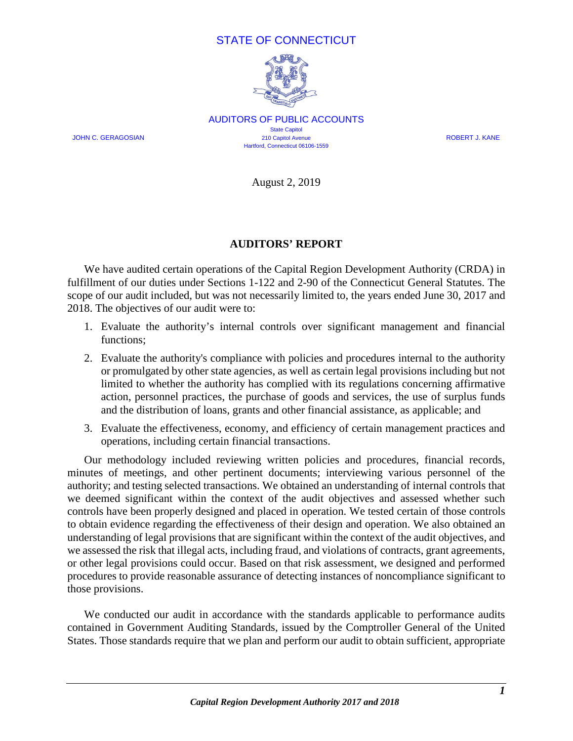### STATE OF CONNECTICUT



AUDITORS OF PUBLIC ACCOUNTS **State Capitol** JOHN C. GERAGOSIAN 210 Capitol Avenue ROBERT J. KANE Hartford, Connecticut 06106-1559

August 2, 2019

#### **AUDITORS' REPORT**

<span id="page-3-1"></span><span id="page-3-0"></span>We have audited certain operations of the Capital Region Development Authority (CRDA) in fulfillment of our duties under Sections 1-122 and 2-90 of the Connecticut General Statutes. The scope of our audit included, but was not necessarily limited to, the years ended June 30, 2017 and 2018. The objectives of our audit were to:

- 1. Evaluate the authority's internal controls over significant management and financial functions;
- 2. Evaluate the authority's compliance with policies and procedures internal to the authority or promulgated by other state agencies, as well as certain legal provisions including but not limited to whether the authority has complied with its regulations concerning affirmative action, personnel practices, the purchase of goods and services, the use of surplus funds and the distribution of loans, grants and other financial assistance, as applicable; and
- 3. Evaluate the effectiveness, economy, and efficiency of certain management practices and operations, including certain financial transactions.

Our methodology included reviewing written policies and procedures, financial records, minutes of meetings, and other pertinent documents; interviewing various personnel of the authority; and testing selected transactions. We obtained an understanding of internal controls that we deemed significant within the context of the audit objectives and assessed whether such controls have been properly designed and placed in operation. We tested certain of those controls to obtain evidence regarding the effectiveness of their design and operation. We also obtained an understanding of legal provisions that are significant within the context of the audit objectives, and we assessed the risk that illegal acts, including fraud, and violations of contracts, grant agreements, or other legal provisions could occur. Based on that risk assessment, we designed and performed procedures to provide reasonable assurance of detecting instances of noncompliance significant to those provisions.

We conducted our audit in accordance with the standards applicable to performance audits contained in Government Auditing Standards, issued by the Comptroller General of the United States. Those standards require that we plan and perform our audit to obtain sufficient, appropriate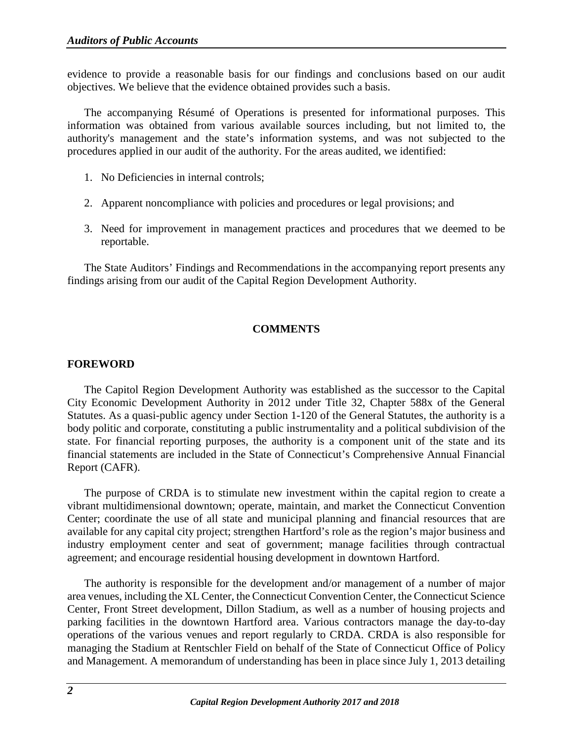evidence to provide a reasonable basis for our findings and conclusions based on our audit objectives. We believe that the evidence obtained provides such a basis.

The accompanying Résumé of Operations is presented for informational purposes. This information was obtained from various available sources including, but not limited to, the authority's management and the state's information systems, and was not subjected to the procedures applied in our audit of the authority. For the areas audited, we identified:

- 1. No Deficiencies in internal controls;
- 2. Apparent noncompliance with policies and procedures or legal provisions; and
- 3. Need for improvement in management practices and procedures that we deemed to be reportable.

<span id="page-4-0"></span>The State Auditors' Findings and Recommendations in the accompanying report presents any findings arising from our audit of the Capital Region Development Authority.

## **COMMENTS**

#### <span id="page-4-1"></span>**FOREWORD**

The Capitol Region Development Authority was established as the successor to the Capital City Economic Development Authority in 2012 under Title 32, Chapter 588x of the General Statutes. As a quasi-public agency under Section 1-120 of the General Statutes, the authority is a body politic and corporate, constituting a public instrumentality and a political subdivision of the state. For financial reporting purposes, the authority is a component unit of the state and its financial statements are included in the State of Connecticut's Comprehensive Annual Financial Report (CAFR).

The purpose of CRDA is to stimulate new investment within the capital region to create a vibrant multidimensional downtown; operate, maintain, and market the Connecticut Convention Center; coordinate the use of all state and municipal planning and financial resources that are available for any capital city project; strengthen Hartford's role as the region's major business and industry employment center and seat of government; manage facilities through contractual agreement; and encourage residential housing development in downtown Hartford.

The authority is responsible for the development and/or management of a number of major area venues, including the XL Center, the Connecticut Convention Center, the Connecticut Science Center, Front Street development, Dillon Stadium, as well as a number of housing projects and parking facilities in the downtown Hartford area. Various contractors manage the day-to-day operations of the various venues and report regularly to CRDA. CRDA is also responsible for managing the Stadium at Rentschler Field on behalf of the State of Connecticut Office of Policy and Management. A memorandum of understanding has been in place since July 1, 2013 detailing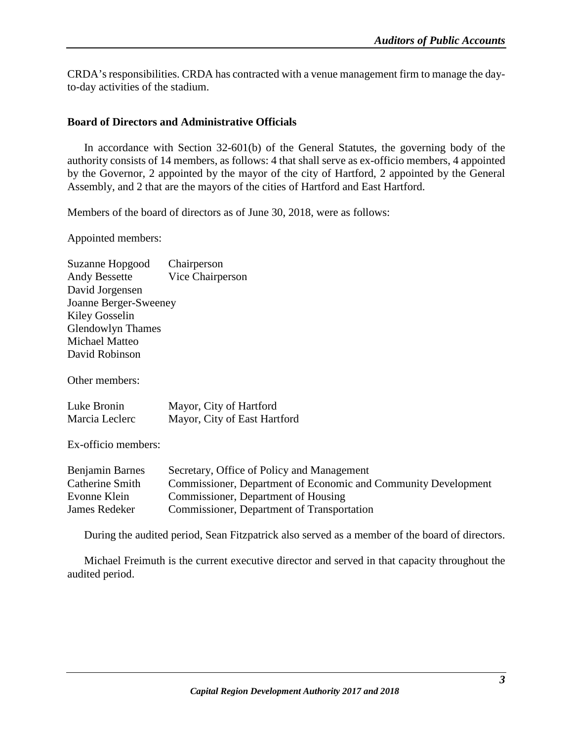CRDA's responsibilities. CRDA has contracted with a venue management firm to manage the dayto-day activities of the stadium.

#### **Board of Directors and Administrative Officials**

In accordance with Section 32-601(b) of the General Statutes, the governing body of the authority consists of 14 members, as follows: 4 that shall serve as ex-officio members, 4 appointed by the Governor, 2 appointed by the mayor of the city of Hartford, 2 appointed by the General Assembly, and 2 that are the mayors of the cities of Hartford and East Hartford.

Members of the board of directors as of June 30, 2018, were as follows:

Appointed members:

| Suzanne Hopgood          | Chairperson      |
|--------------------------|------------------|
| <b>Andy Bessette</b>     | Vice Chairperson |
| David Jorgensen          |                  |
| Joanne Berger-Sweeney    |                  |
| <b>Kiley Gosselin</b>    |                  |
| <b>Glendowlyn Thames</b> |                  |
| Michael Matteo           |                  |
| David Robinson           |                  |

Other members:

| Luke Bronin    | Mayor, City of Hartford      |
|----------------|------------------------------|
| Marcia Leclerc | Mayor, City of East Hartford |

Ex-officio members:

| Benjamin Barnes | Secretary, Office of Policy and Management                     |
|-----------------|----------------------------------------------------------------|
| Catherine Smith | Commissioner, Department of Economic and Community Development |
| Evonne Klein    | Commissioner, Department of Housing                            |
| James Redeker   | Commissioner, Department of Transportation                     |

During the audited period, Sean Fitzpatrick also served as a member of the board of directors.

Michael Freimuth is the current executive director and served in that capacity throughout the audited period.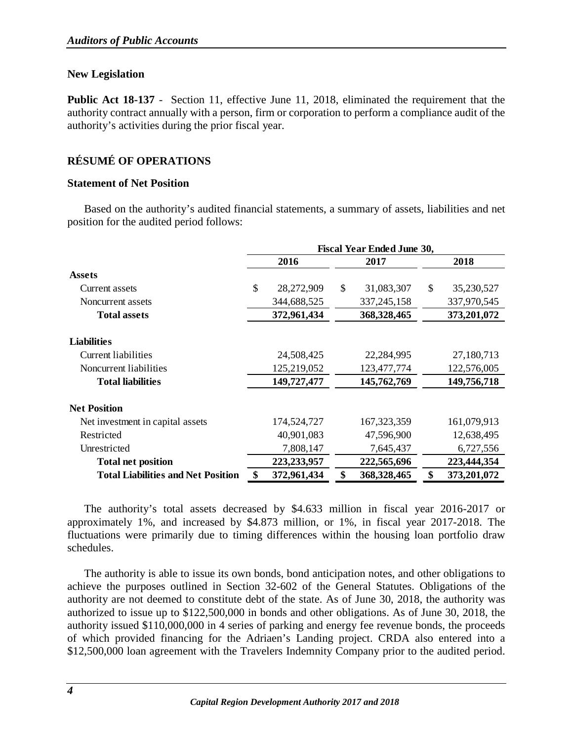#### **New Legislation**

**Public Act 18-137** - Section 11, effective June 11, 2018, eliminated the requirement that the authority contract annually with a person, firm or corporation to perform a compliance audit of the authority's activities during the prior fiscal year.

# <span id="page-6-0"></span>**RÉSUMÉ OF OPERATIONS**

#### **Statement of Net Position**

Based on the authority's audited financial statements, a summary of assets, liabilities and net position for the audited period follows:

|                                           | <b>Fiscal Year Ended June 30,</b> |               |              |               |      |             |
|-------------------------------------------|-----------------------------------|---------------|--------------|---------------|------|-------------|
|                                           | 2016<br>2017                      |               |              |               | 2018 |             |
| <b>Assets</b>                             |                                   |               |              |               |      |             |
| Current assets                            | \$                                | 28,272,909    | $\mathbb{S}$ | 31,083,307    | \$   | 35,230,527  |
| Noncurrent assets                         |                                   | 344,688,525   |              | 337, 245, 158 |      | 337,970,545 |
| <b>Total assets</b>                       | 372,961,434                       |               |              | 368, 328, 465 |      | 373,201,072 |
| <b>Liabilities</b>                        |                                   |               |              |               |      |             |
| Current liabilities                       |                                   | 24,508,425    |              | 22,284,995    |      | 27,180,713  |
| Noncurrent liabilities                    |                                   | 125,219,052   |              | 123,477,774   |      | 122,576,005 |
| <b>Total liabilities</b>                  |                                   | 149,727,477   |              | 145,762,769   |      | 149,756,718 |
| <b>Net Position</b>                       |                                   |               |              |               |      |             |
| Net investment in capital assets          |                                   | 174,524,727   |              | 167, 323, 359 |      | 161,079,913 |
| Restricted                                |                                   | 40,901,083    |              | 47,596,900    |      | 12,638,495  |
| Unrestricted                              |                                   | 7,808,147     |              | 7,645,437     |      | 6,727,556   |
| <b>Total net position</b>                 |                                   | 223, 233, 957 |              | 222,565,696   |      | 223,444,354 |
| <b>Total Liabilities and Net Position</b> | \$                                | 372,961,434   | \$           | 368,328,465   | \$   | 373,201,072 |

The authority's total assets decreased by \$4.633 million in fiscal year 2016-2017 or approximately 1%, and increased by \$4.873 million, or 1%, in fiscal year 2017-2018. The fluctuations were primarily due to timing differences within the housing loan portfolio draw schedules.

The authority is able to issue its own bonds, bond anticipation notes, and other obligations to achieve the purposes outlined in Section 32-602 of the General Statutes. Obligations of the authority are not deemed to constitute debt of the state. As of June 30, 2018, the authority was authorized to issue up to \$122,500,000 in bonds and other obligations. As of June 30, 2018, the authority issued \$110,000,000 in 4 series of parking and energy fee revenue bonds, the proceeds of which provided financing for the Adriaen's Landing project. CRDA also entered into a \$12,500,000 loan agreement with the Travelers Indemnity Company prior to the audited period.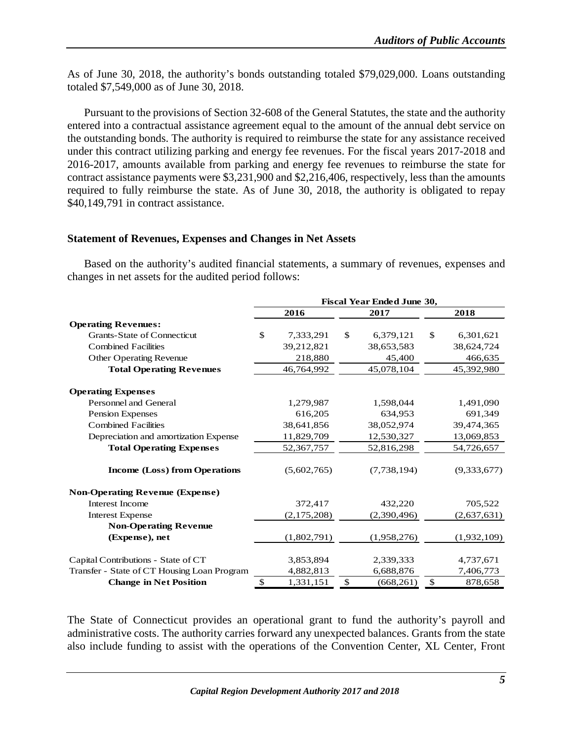As of June 30, 2018, the authority's bonds outstanding totaled \$79,029,000. Loans outstanding totaled \$7,549,000 as of June 30, 2018.

Pursuant to the provisions of Section 32-608 of the General Statutes, the state and the authority entered into a contractual assistance agreement equal to the amount of the annual debt service on the outstanding bonds. The authority is required to reimburse the state for any assistance received under this contract utilizing parking and energy fee revenues. For the fiscal years 2017-2018 and 2016-2017, amounts available from parking and energy fee revenues to reimburse the state for contract assistance payments were \$3,231,900 and \$2,216,406, respectively, less than the amounts required to fully reimburse the state. As of June 30, 2018, the authority is obligated to repay \$40,149,791 in contract assistance.

#### **Statement of Revenues, Expenses and Changes in Net Assets**

Based on the authority's audited financial statements, a summary of revenues, expenses and changes in net assets for the audited period follows:

|                                             | <b>Fiscal Year Ended June 30,</b> |             |    |             |                 |
|---------------------------------------------|-----------------------------------|-------------|----|-------------|-----------------|
|                                             |                                   | 2016        |    | 2017        | 2018            |
| <b>Operating Revenues:</b>                  |                                   |             |    |             |                 |
| <b>Grants-State of Connecticut</b>          | \$                                | 7,333,291   | \$ | 6,379,121   | \$<br>6,301,621 |
| <b>Combined Facilities</b>                  |                                   | 39,212,821  |    | 38,653,583  | 38,624,724      |
| Other Operating Revenue                     |                                   | 218,880     |    | 45,400      | 466,635         |
| <b>Total Operating Revenues</b>             |                                   | 46,764,992  |    | 45,078,104  | 45,392,980      |
| <b>Operating Expenses</b>                   |                                   |             |    |             |                 |
| Personnel and General                       |                                   | 1,279,987   |    | 1,598,044   | 1,491,090       |
| Pension Expenses                            |                                   | 616,205     |    | 634,953     | 691,349         |
| <b>Combined Facilities</b>                  |                                   | 38,641,856  |    | 38,052,974  | 39,474,365      |
| Depreciation and amortization Expense       |                                   | 11,829,709  |    | 12,530,327  | 13,069,853      |
| <b>Total Operating Expenses</b>             |                                   | 52,367,757  |    | 52,816,298  | 54,726,657      |
| <b>Income (Loss) from Operations</b>        |                                   | (5,602,765) |    | (7,738,194) | (9,333,677)     |
| <b>Non-Operating Revenue (Expense)</b>      |                                   |             |    |             |                 |
| Interest Income                             |                                   | 372,417     |    | 432,220     | 705,522         |
| <b>Interest Expense</b>                     |                                   | (2,175,208) |    | (2,390,496) | (2,637,631)     |
| <b>Non-Operating Revenue</b>                |                                   |             |    |             |                 |
| (Expense), net                              |                                   | (1,802,791) |    | (1,958,276) | (1,932,109)     |
| Capital Contributions - State of CT         |                                   | 3,853,894   |    | 2,339,333   | 4,737,671       |
| Transfer - State of CT Housing Loan Program |                                   | 4,882,813   |    | 6,688,876   | 7,406,773       |
| <b>Change in Net Position</b>               | \$                                | 1,331,151   | \$ | (668, 261)  | \$<br>878,658   |

The State of Connecticut provides an operational grant to fund the authority's payroll and administrative costs. The authority carries forward any unexpected balances. Grants from the state also include funding to assist with the operations of the Convention Center, XL Center, Front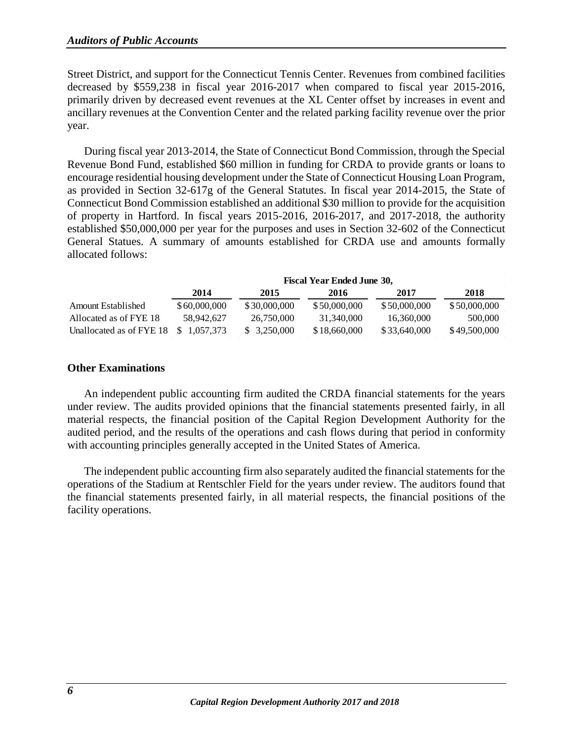Street District, and support for the Connecticut Tennis Center. Revenues from combined facilities decreased by \$559,238 in fiscal year 2016-2017 when compared to fiscal year 2015-2016, primarily driven by decreased event revenues at the XL Center offset by increases in event and ancillary revenues at the Convention Center and the related parking facility revenue over the prior year.

During fiscal year 2013-2014, the State of Connecticut Bond Commission, through the Special Revenue Bond Fund, established \$60 million in funding for CRDA to provide grants or loans to encourage residential housing development under the State of Connecticut Housing Loan Program, as provided in Section 32-617g of the General Statutes. In fiscal year 2014-2015, the State of Connecticut Bond Commission established an additional \$30 million to provide for the acquisition of property in Hartford. In fiscal years 2015-2016, 2016-2017, and 2017-2018, the authority established \$50,000,000 per year for the purposes and uses in Section 32-602 of the Connecticut General Statues. A summary of amounts established for CRDA use and amounts formally allocated follows:

|                           | Fiscal Year Ended June 30, |              |              |              |              |
|---------------------------|----------------------------|--------------|--------------|--------------|--------------|
|                           | 2014                       | 2015         | 2016         | 2017         | 2018         |
| <b>Amount Established</b> | \$60,000,000               | \$30,000,000 | \$50,000,000 | \$50,000,000 | \$50,000,000 |
| Allocated as of FYE 18    | 58.942.627                 | 26,750,000   | 31.340.000   | 16.360,000   | 500,000      |
| Unallocated as of FYE 18  | <sup>\$</sup><br>1.057.373 | \$ 3.250,000 | \$18,660,000 | \$33,640,000 | \$49,500,000 |

#### **Other Examinations**

An independent public accounting firm audited the CRDA financial statements for the years under review. The audits provided opinions that the financial statements presented fairly, in all material respects, the financial position of the Capital Region Development Authority for the audited period, and the results of the operations and cash flows during that period in conformity with accounting principles generally accepted in the United States of America.

The independent public accounting firm also separately audited the financial statements for the operations of the Stadium at Rentschler Field for the years under review. The auditors found that the financial statements presented fairly, in all material respects, the financial positions of the facility operations.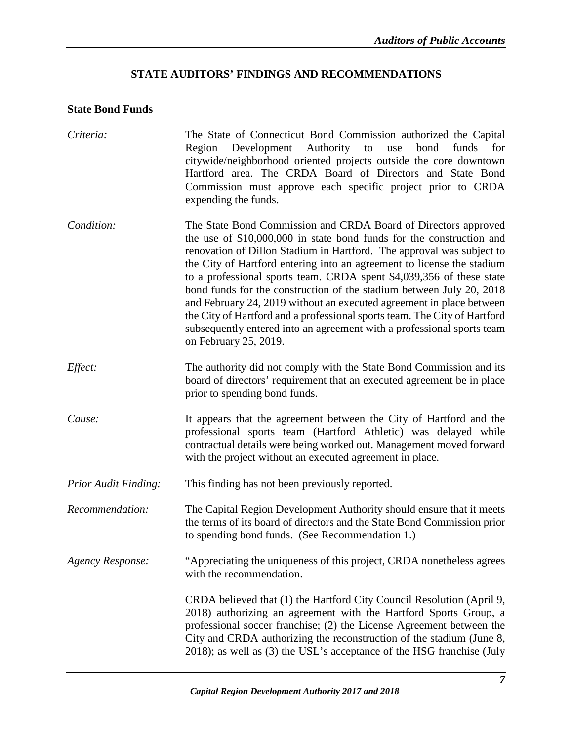# **STATE AUDITORS' FINDINGS AND RECOMMENDATIONS**

# <span id="page-9-0"></span>**State Bond Funds**

| Criteria:                   | The State of Connecticut Bond Commission authorized the Capital<br>Region Development Authority to<br>bond<br>use<br>funds<br>for<br>citywide/neighborhood oriented projects outside the core downtown<br>Hartford area. The CRDA Board of Directors and State Bond<br>Commission must approve each specific project prior to CRDA<br>expending the funds.                                                                                                                                                                                                                                                                                                                                        |
|-----------------------------|---------------------------------------------------------------------------------------------------------------------------------------------------------------------------------------------------------------------------------------------------------------------------------------------------------------------------------------------------------------------------------------------------------------------------------------------------------------------------------------------------------------------------------------------------------------------------------------------------------------------------------------------------------------------------------------------------|
| Condition:                  | The State Bond Commission and CRDA Board of Directors approved<br>the use of \$10,000,000 in state bond funds for the construction and<br>renovation of Dillon Stadium in Hartford. The approval was subject to<br>the City of Hartford entering into an agreement to license the stadium<br>to a professional sports team. CRDA spent \$4,039,356 of these state<br>bond funds for the construction of the stadium between July 20, 2018<br>and February 24, 2019 without an executed agreement in place between<br>the City of Hartford and a professional sports team. The City of Hartford<br>subsequently entered into an agreement with a professional sports team<br>on February 25, 2019. |
| Effect:                     | The authority did not comply with the State Bond Commission and its<br>board of directors' requirement that an executed agreement be in place<br>prior to spending bond funds.                                                                                                                                                                                                                                                                                                                                                                                                                                                                                                                    |
| Cause:                      | It appears that the agreement between the City of Hartford and the<br>professional sports team (Hartford Athletic) was delayed while<br>contractual details were being worked out. Management moved forward<br>with the project without an executed agreement in place.                                                                                                                                                                                                                                                                                                                                                                                                                           |
| <b>Prior Audit Finding:</b> | This finding has not been previously reported.                                                                                                                                                                                                                                                                                                                                                                                                                                                                                                                                                                                                                                                    |
| Recommendation:             | The Capital Region Development Authority should ensure that it meets<br>the terms of its board of directors and the State Bond Commission prior<br>to spending bond funds. (See Recommendation 1.)                                                                                                                                                                                                                                                                                                                                                                                                                                                                                                |
| Agency Response:            | "Appreciating the uniqueness of this project, CRDA nonetheless agrees<br>with the recommendation.                                                                                                                                                                                                                                                                                                                                                                                                                                                                                                                                                                                                 |
|                             | CRDA believed that (1) the Hartford City Council Resolution (April 9,<br>2018) authorizing an agreement with the Hartford Sports Group, a<br>professional soccer franchise; (2) the License Agreement between the<br>City and CRDA authorizing the reconstruction of the stadium (June 8,<br>2018); as well as (3) the USL's acceptance of the HSG franchise (July                                                                                                                                                                                                                                                                                                                                |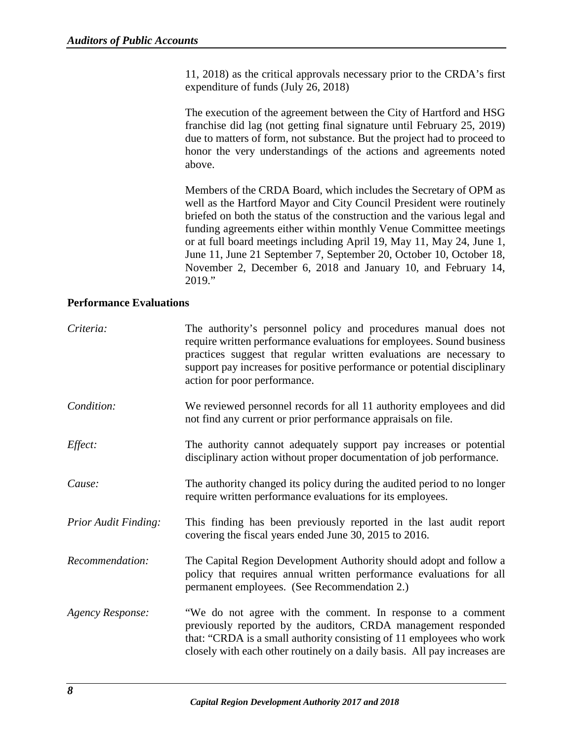11, 2018) as the critical approvals necessary prior to the CRDA's first expenditure of funds (July 26, 2018)

The execution of the agreement between the City of Hartford and HSG franchise did lag (not getting final signature until February 25, 2019) due to matters of form, not substance. But the project had to proceed to honor the very understandings of the actions and agreements noted above.

Members of the CRDA Board, which includes the Secretary of OPM as well as the Hartford Mayor and City Council President were routinely briefed on both the status of the construction and the various legal and funding agreements either within monthly Venue Committee meetings or at full board meetings including April 19, May 11, May 24, June 1, June 11, June 21 September 7, September 20, October 10, October 18, November 2, December 6, 2018 and January 10, and February 14, 2019."

#### **Performance Evaluations**

| Criteria:                   | The authority's personnel policy and procedures manual does not<br>require written performance evaluations for employees. Sound business<br>practices suggest that regular written evaluations are necessary to<br>support pay increases for positive performance or potential disciplinary<br>action for poor performance. |
|-----------------------------|-----------------------------------------------------------------------------------------------------------------------------------------------------------------------------------------------------------------------------------------------------------------------------------------------------------------------------|
| Condition:                  | We reviewed personnel records for all 11 authority employees and did<br>not find any current or prior performance appraisals on file.                                                                                                                                                                                       |
| Effect:                     | The authority cannot adequately support pay increases or potential<br>disciplinary action without proper documentation of job performance.                                                                                                                                                                                  |
| Cause:                      | The authority changed its policy during the audited period to no longer<br>require written performance evaluations for its employees.                                                                                                                                                                                       |
| <b>Prior Audit Finding:</b> | This finding has been previously reported in the last audit report<br>covering the fiscal years ended June 30, 2015 to 2016.                                                                                                                                                                                                |
| Recommendation:             | The Capital Region Development Authority should adopt and follow a<br>policy that requires annual written performance evaluations for all<br>permanent employees. (See Recommendation 2.)                                                                                                                                   |
| <b>Agency Response:</b>     | "We do not agree with the comment. In response to a comment<br>previously reported by the auditors, CRDA management responded<br>that: "CRDA is a small authority consisting of 11 employees who work<br>closely with each other routinely on a daily basis. All pay increases are                                          |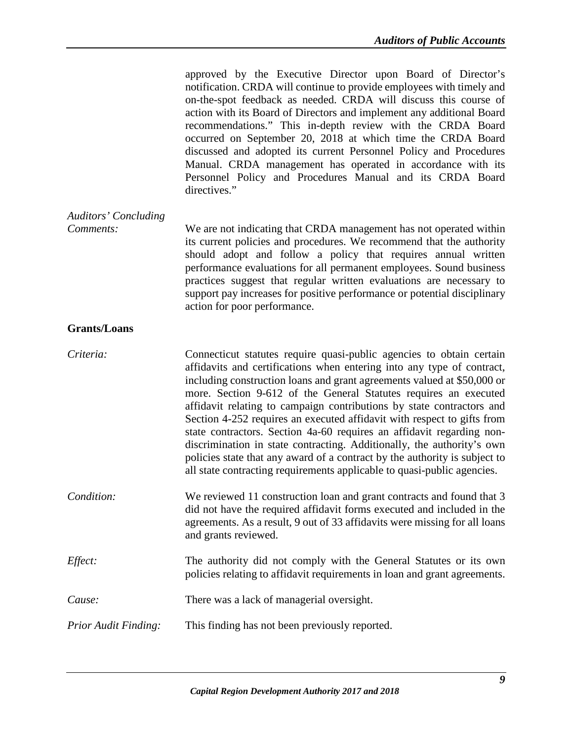approved by the Executive Director upon Board of Director's notification. CRDA will continue to provide employees with timely and on-the-spot feedback as needed. CRDA will discuss this course of action with its Board of Directors and implement any additional Board recommendations." This in-depth review with the CRDA Board occurred on September 20, 2018 at which time the CRDA Board discussed and adopted its current Personnel Policy and Procedures Manual. CRDA management has operated in accordance with its Personnel Policy and Procedures Manual and its CRDA Board directives."

*Auditors' Concluding Comments:* We are not indicating that CRDA management has not operated within its current policies and procedures. We recommend that the authority should adopt and follow a policy that requires annual written performance evaluations for all permanent employees. Sound business practices suggest that regular written evaluations are necessary to support pay increases for positive performance or potential disciplinary action for poor performance.

#### **Grants/Loans**

| Criteria:            | Connecticut statutes require quasi-public agencies to obtain certain<br>affidavits and certifications when entering into any type of contract,<br>including construction loans and grant agreements valued at \$50,000 or<br>more. Section 9-612 of the General Statutes requires an executed<br>affidavit relating to campaign contributions by state contractors and<br>Section 4-252 requires an executed affidavit with respect to gifts from<br>state contractors. Section 4a-60 requires an affidavit regarding non-<br>discrimination in state contracting. Additionally, the authority's own<br>policies state that any award of a contract by the authority is subject to<br>all state contracting requirements applicable to quasi-public agencies. |
|----------------------|---------------------------------------------------------------------------------------------------------------------------------------------------------------------------------------------------------------------------------------------------------------------------------------------------------------------------------------------------------------------------------------------------------------------------------------------------------------------------------------------------------------------------------------------------------------------------------------------------------------------------------------------------------------------------------------------------------------------------------------------------------------|
| Condition:           | We reviewed 11 construction loan and grant contracts and found that 3<br>did not have the required affidavit forms executed and included in the<br>agreements. As a result, 9 out of 33 affidavits were missing for all loans<br>and grants reviewed.                                                                                                                                                                                                                                                                                                                                                                                                                                                                                                         |
| Effect:              | The authority did not comply with the General Statutes or its own<br>policies relating to affidavit requirements in loan and grant agreements.                                                                                                                                                                                                                                                                                                                                                                                                                                                                                                                                                                                                                |
| Cause:               | There was a lack of managerial oversight.                                                                                                                                                                                                                                                                                                                                                                                                                                                                                                                                                                                                                                                                                                                     |
| Prior Audit Finding: | This finding has not been previously reported.                                                                                                                                                                                                                                                                                                                                                                                                                                                                                                                                                                                                                                                                                                                |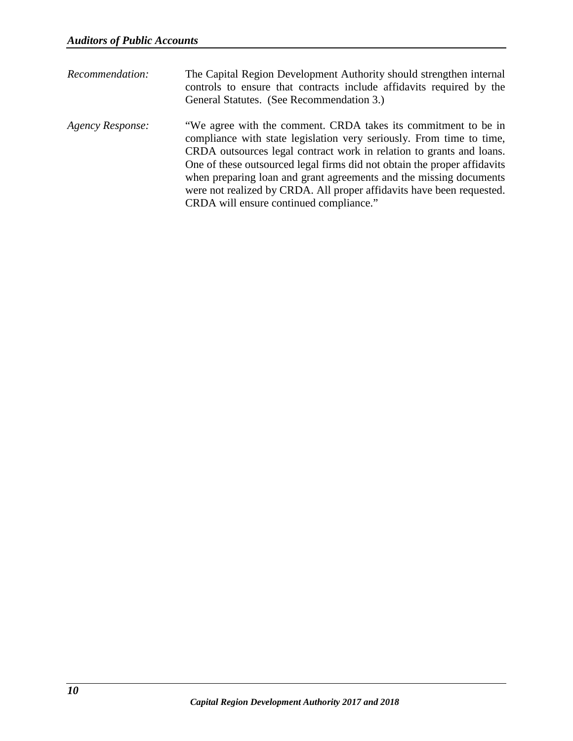| Recommendation:         | The Capital Region Development Authority should strengthen internal<br>controls to ensure that contracts include affidavits required by the<br>General Statutes. (See Recommendation 3.)                                                                                                                                                                                                                                                                                             |
|-------------------------|--------------------------------------------------------------------------------------------------------------------------------------------------------------------------------------------------------------------------------------------------------------------------------------------------------------------------------------------------------------------------------------------------------------------------------------------------------------------------------------|
| <b>Agency Response:</b> | "We agree with the comment. CRDA takes its commitment to be in<br>compliance with state legislation very seriously. From time to time,<br>CRDA outsources legal contract work in relation to grants and loans.<br>One of these outsourced legal firms did not obtain the proper affidavits<br>when preparing loan and grant agreements and the missing documents<br>were not realized by CRDA. All proper affidavits have been requested.<br>CRDA will ensure continued compliance." |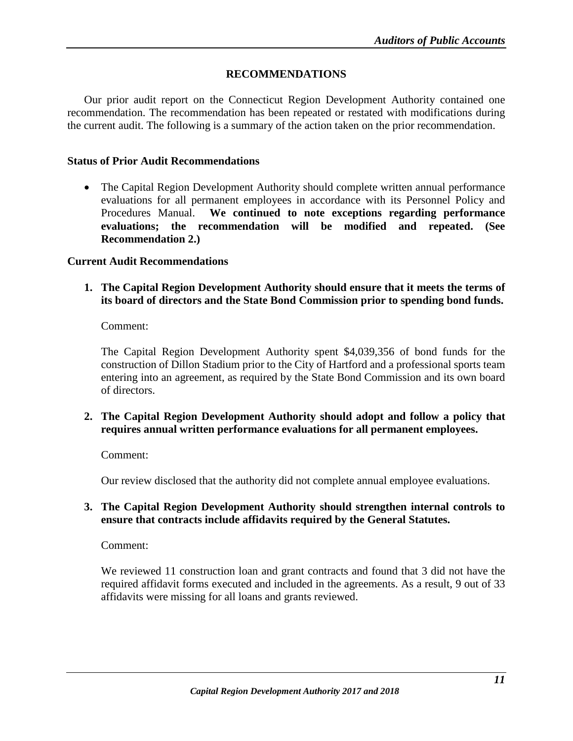#### **RECOMMENDATIONS**

<span id="page-13-0"></span>Our prior audit report on the Connecticut Region Development Authority contained one recommendation. The recommendation has been repeated or restated with modifications during the current audit. The following is a summary of the action taken on the prior recommendation.

#### <span id="page-13-1"></span>**Status of Prior Audit Recommendations**

• The Capital Region Development Authority should complete written annual performance evaluations for all permanent employees in accordance with its Personnel Policy and Procedures Manual. **We continued to note exceptions regarding performance evaluations; the recommendation will be modified and repeated. (See Recommendation 2.)**

#### <span id="page-13-2"></span>**Current Audit Recommendations**

**1. The Capital Region Development Authority should ensure that it meets the terms of its board of directors and the State Bond Commission prior to spending bond funds.**

Comment:

The Capital Region Development Authority spent \$4,039,356 of bond funds for the construction of Dillon Stadium prior to the City of Hartford and a professional sports team entering into an agreement, as required by the State Bond Commission and its own board of directors.

**2. The Capital Region Development Authority should adopt and follow a policy that requires annual written performance evaluations for all permanent employees.**

Comment:

Our review disclosed that the authority did not complete annual employee evaluations.

#### **3. The Capital Region Development Authority should strengthen internal controls to ensure that contracts include affidavits required by the General Statutes.**

Comment:

We reviewed 11 construction loan and grant contracts and found that 3 did not have the required affidavit forms executed and included in the agreements. As a result, 9 out of 33 affidavits were missing for all loans and grants reviewed.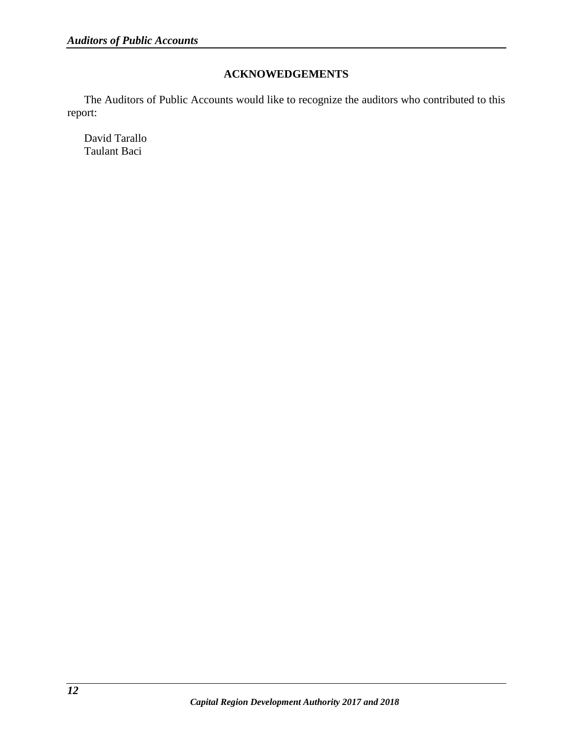# **ACKNOWEDGEMENTS**

<span id="page-14-0"></span>The Auditors of Public Accounts would like to recognize the auditors who contributed to this report:

David Tarallo Taulant Baci